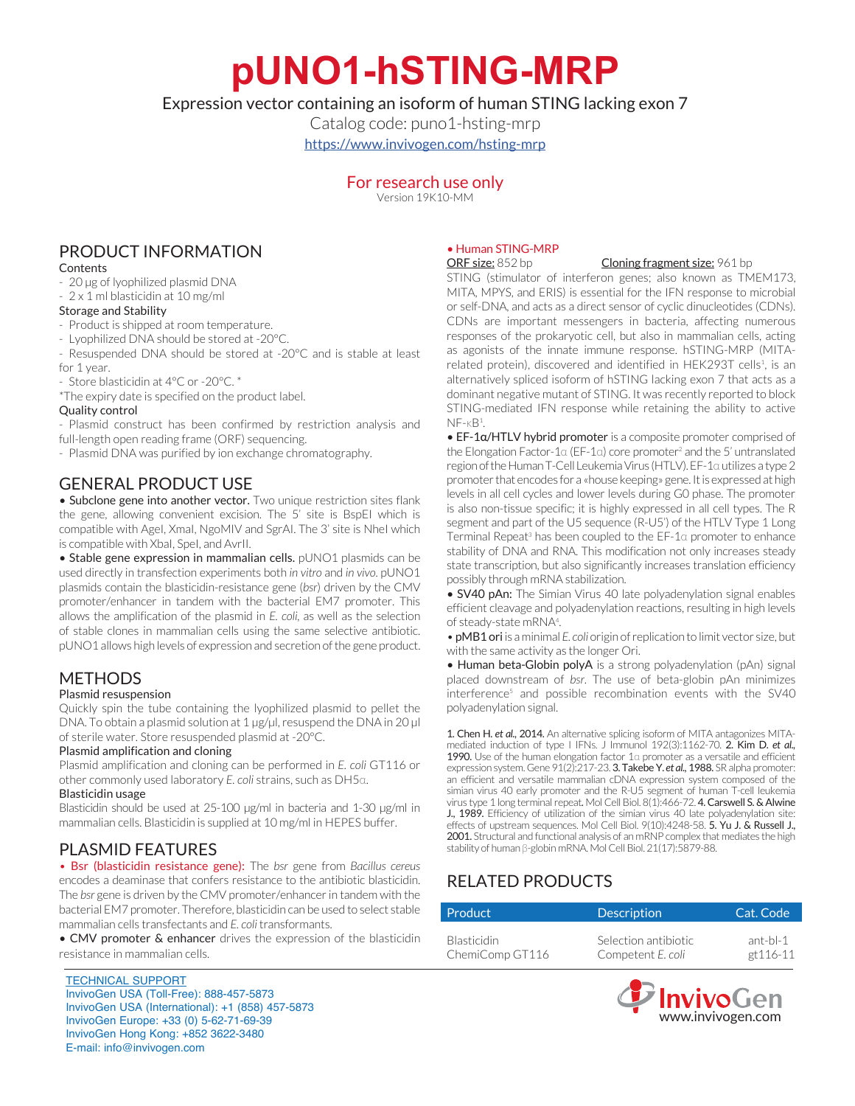# **pUNO1-hSTING-MRP**

# Expression vector containing an isoform of human STING lacking exon 7

Catalog code: puno1-hsting-mrp <https://www.invivogen.com/hsting-mrp>

> For research use only Version 19K10-MM

# PRODUCT INFORMATION

#### **Contents**

- 20 µg of lyophilized plasmid DNA
- 2 x 1 ml blasticidin at 10 mg/ml

### Storage and Stability

- Product is shipped at room temperature.
- Lyophilized DNA should be stored at -20°C.
- Resuspended DNA should be stored at -20°C and is stable at least for 1 year.
- Store blasticidin at 4°C or -20°C. \*
- \*The expiry date is specified on the product label.

#### Quality control

- Plasmid construct has been confirmed by restriction analysis and full-length open reading frame (ORF) sequencing.
- Plasmid DNA was purified by ion exchange chromatography.

# GENERAL PRODUCT USE

• Subclone gene into another vector. Two unique restriction sites flank the gene, allowing convenient excision. The 5' site is BspEI which is compatible with AgeI, XmaI, NgoMIV and SgrAI. The 3' site is NheI which is compatible with XbaI, SpeI, and AvrII.

• Stable gene expression in mammalian cells. pUNO1 plasmids can be used directly in transfection experiments both *in vitro* and *in vivo*. pUNO1 plasmids contain the blasticidin-resistance gene (*bsr*) driven by the CMV promoter/enhancer in tandem with the bacterial EM7 promoter. This allows the amplification of the plasmid in *E. coli,* as well as the selection of stable clones in mammalian cells using the same selective antibiotic. pUNO1 allows high levels of expression and secretion of the gene product.

# **METHODS**

#### Plasmid resuspension

Quickly spin the tube containing the lyophilized plasmid to pellet the DNA. To obtain a plasmid solution at 1 µg/µl, resuspend the DNA in 20 µl of sterile water. Store resuspended plasmid at -20°C.

#### Plasmid amplification and cloning

Plasmid amplification and cloning can be performed in *E. coli* GT116 or other commonly used laboratory *E. coli* strains, such as DH5α.

#### Blasticidin usage

Blasticidin should be used at 25-100 µg/ml in bacteria and 1-30 µg/ml in mammalian cells. Blasticidin is supplied at 10 mg/ml in HEPES buffer.

## PLASMID FEATURES

• Bsr (blasticidin resistance gene): The *bsr* gene from *Bacillus cereus* encodes a deaminase that confers resistance to the antibiotic blasticidin. The *bsr* gene is driven by the CMV promoter/enhancer in tandem with the bacterial EM7 promoter. Therefore, blasticidin can be used to select stable mammalian cells transfectants and *E. coli* transformants.

• CMV promoter & enhancer drives the expression of the blasticidin resistance in mammalian cells.

#### TECHNICAL SUPPORT InvivoGen USA (Toll‑Free): 888-457-5873 InvivoGen USA (International): +1 (858) 457-5873 InvivoGen Europe: +33 (0) 5-62-71-69-39 InvivoGen Hong Kong: +852 3622-3480 E-mail: info@invivogen.com

#### • Human STING-MRP

ORF size: 852 bp Cloning fragment size: 961 bp

STING (stimulator of interferon genes; also known as TMEM173, MITA, MPYS, and ERIS) is essential for the IFN response to microbial or self-DNA, and acts as a direct sensor of cyclic dinucleotides (CDNs). CDNs are important messengers in bacteria, affecting numerous responses of the prokaryotic cell, but also in mammalian cells, acting as agonists of the innate immune response. hSTING-MRP (MITArelated protein), discovered and identified in HEK293T cells<sup>1</sup>, is an alternatively spliced isoform of hSTING lacking exon 7 that acts as a dominant negative mutant of STING. It was recently reported to block STING-mediated IFN response while retaining the ability to active  $NF - kB<sup>1</sup>$ .

• EF-1a/HTLV hybrid promoter is a composite promoter comprised of the Elongation Factor-1α (EF-1α) core promoter<sup>2</sup> and the 5' untranslated region of the Human T-Cell Leukemia Virus (HTLV). EF-1α utilizes a type 2 promoter that encodes for a «house keeping» gene. It is expressed at high levels in all cell cycles and lower levels during G0 phase. The promoter is also non-tissue specific; it is highly expressed in all cell types. The R segment and part of the U5 sequence (R-U5') of the HTLV Type 1 Long Terminal Repeat<sup>3</sup> has been coupled to the EF-1α promoter to enhance stability of DNA and RNA. This modification not only increases steady state transcription, but also significantly increases translation efficiency possibly through mRNA stabilization.

• **SV40 pAn:** The Simian Virus 40 late polyadenylation signal enables efficient cleavage and polyadenylation reactions, resulting in high levels of steady-state mRNA<sup>4</sup>.

• pMB1 ori is a minimal *E. coli* origin of replication to limit vector size, but with the same activity as the longer Ori.

• Human beta-Globin polyA is a strong polyadenylation (pAn) signal placed downstream of *bsr*. The use of beta-globin pAn minimizes interference<sup>5</sup> and possible recombination events with the SV40 polyadenylation signal.

1. Chen H. *et al.,* 2014. An alternative splicing isoform of MITA antagonizes MITAmediated induction of type I IFNs. J Immunol 192(3):1162-70. 2. Kim D. *et al.,* 1990. Use of the human elongation factor  $1\alpha$  promoter as a versatile and efficient expression system. Gene 91(2):217-23. 3. Takebe Y. *et al.,* 1988. SR alpha promoter: an efficient and versatile mammalian cDNA expression system composed of the simian virus 40 early promoter and the R-U5 segment of human T-cell leukemia virus type 1 long terminal repeat. Mol Cell Biol. 8(1):466-72. 4. Carswell S. & Alwine J., 1989. Efficiency of utilization of the simian virus 40 late polyadenylation site: effects of upstream sequences. Mol Cell Biol. 9(10):4248-58. 5. Yu J. & Russell J., 2001. Structural and functional analysis of an mRNP complex that mediates the high stability of human β-globin mRNA. Mol Cell Biol. 21(17):5879-88.

# RELATED PRODUCTS

| Product            | <b>Description</b>   | Cat. Code |  |
|--------------------|----------------------|-----------|--|
|                    |                      |           |  |
| <b>Blasticidin</b> | Selection antibiotic | ant-bl-1  |  |
| ChemiComp GT116    | Competent E. coli    | et 116-11 |  |

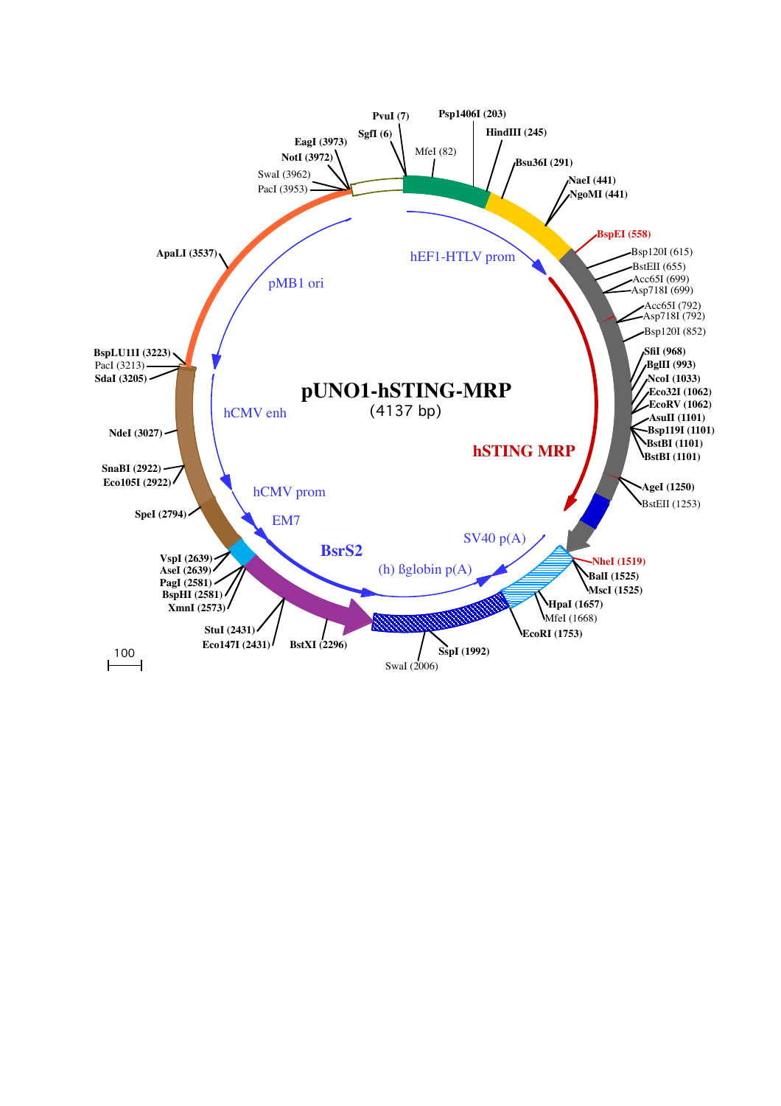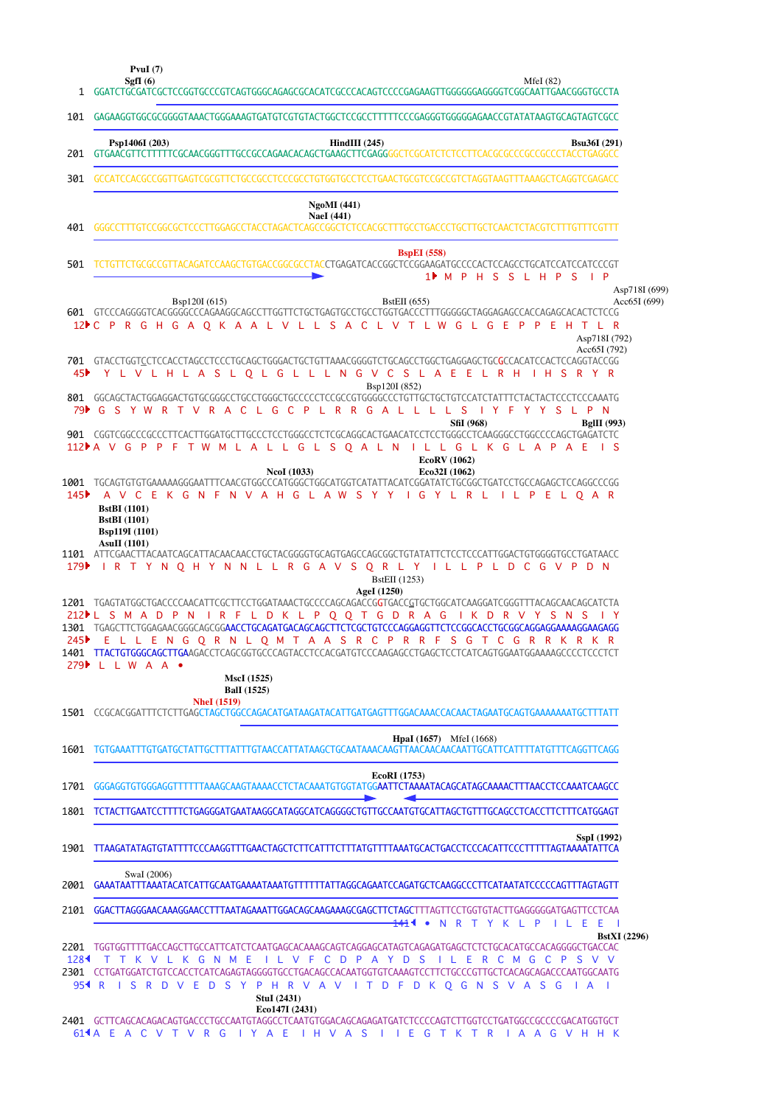|                  | PvuI $(7)$<br>SgfI $(6)$<br>MfeI $(82)$<br>1 GGATCTGCGATCGCTCCGGTGCCCGTCAGTGGGCAGAGCGCACATCGCCCACAGTCCCCGAGAAGTTGGGGGGAGGGGTCGGCAATTGAACGGGTGCCTA                                                                                                                                                                                                                                                  |  |
|------------------|----------------------------------------------------------------------------------------------------------------------------------------------------------------------------------------------------------------------------------------------------------------------------------------------------------------------------------------------------------------------------------------------------|--|
| 101              | GAGAAGGTGGCGCGGGGTAAACTGGGAAAGTGATGTCGTGTACTGGCTCCGCCTTTTTCCCGAGGGTGGGGGAGAACCGTATATAAGTGCAGTAGTCGCC                                                                                                                                                                                                                                                                                               |  |
| 201              | Psp1406I (203)<br>$HindIII$ (245)<br><b>Bsu36I</b> (291)                                                                                                                                                                                                                                                                                                                                           |  |
| 301              | GCCATCCACGCCGGTTGAGTCGCGTTCTGCCGCCTCCCGCCTGTGGTGCCTCCCTGAACTGCGTCCGCCGTCTAGGTAAGTTTAAAGCTCAGGTCGAGACC                                                                                                                                                                                                                                                                                              |  |
|                  | <b>NgoMI</b> (441)                                                                                                                                                                                                                                                                                                                                                                                 |  |
| 401              | <b>NaeI</b> (441)                                                                                                                                                                                                                                                                                                                                                                                  |  |
| 501              | <b>BspEI</b> (558)<br>1 M P H S S L H P S I P                                                                                                                                                                                                                                                                                                                                                      |  |
|                  | Asp718I (699)<br>Bsp120I (615)<br><b>BstEII</b> (655)<br>Acc65I(699)                                                                                                                                                                                                                                                                                                                               |  |
|                  | 12 <sup>6</sup> C P R G H G A O K A A L V L L S A C L V T L W G L G E P P E H T L R                                                                                                                                                                                                                                                                                                                |  |
|                  | Asp718I (792)<br>Acc65I (792)                                                                                                                                                                                                                                                                                                                                                                      |  |
| 45▶              | 701 GTACCTGGTCCTCCACCTAGCCTCCCTGCAGCTGGGACTGCTGTTAAACGGGGTCTGCAGCCTGGCTGAGGAGCTGCCACATCCACTCCAGGTACCGG<br>Y L V L H L A S L O L G L L L N G V C S L A E E L R H I H S R Y R<br>Bsp120I (852)                                                                                                                                                                                                       |  |
|                  | 79 CSYWRT V R A C L G C P L R R G A L L L L S<br>I Y F Y Y S L P N                                                                                                                                                                                                                                                                                                                                 |  |
|                  | <b>SfiI</b> (968)<br><b>BgIII</b> (993)<br>901  CGGTCGGCCCGCCCTTCACTTGGATGCTTGCCCTCCTGGGCCTCTCGCAGGCACTGAACATCCTCCTGGGCCTCAAGGGCCTGGCCCCAGCTGAGATCTC<br>$\overline{\phantom{a}}$ is                                                                                                                                                                                                                |  |
|                  | 112DA V G P P F T W M L A L L G L S Q A L N I L L G L K G L A P A E<br>EcoRV (1062)                                                                                                                                                                                                                                                                                                                |  |
| 145              | <b>NcoI</b> (1033)<br>Eco32I (1062)<br>1001 TGCAGTGTGTGAAAAAGGGAATTTCAACGTGGCCCATGGGCTGGCATGGTCATATTACATCGGATATCTGCGGCTGATCCTGCCAGAGCTCCAGGCCCGG<br>A V C E K G N F N V A H G L A W S Y Y I G Y L R L I L P E L O A R<br><b>BstBI</b> (1101)                                                                                                                                                       |  |
|                  | <b>BstBI</b> (1101)<br><b>Bsp119I</b> (1101)<br><b>AsuII</b> (1101)                                                                                                                                                                                                                                                                                                                                |  |
| 179              | 1101 ATTCGAACTTACAATCAGCATTACAACAACCTGCTACGGGGTGCAGTGAGCCAGCGGCTGTATATTCTCCTCCCATTGGACTGTGGGGTGCCTGATAACC<br>IRTYNQHYNNLLRGAVSQRLYILLPLDCGVPDN<br><b>BstEII</b> (1253)                                                                                                                                                                                                                             |  |
|                  | AgeI (1250)<br>1201 TGAGTATGGCTGACCCCAACATTCGCTTCCTGGATAAACTGCCCCAGCAGACCGGTGACC <u>G</u> TGCTGGCATCAAGGATCGGGTTTACAGCAACAGCATCTA<br>212 L S M A D P N I R F L D K L P Q Q T G D R A G I K D R V Y S N S I Y<br>1301 TGAGCTTCTGGAGAACGGGCAGCGGAACCTGCAGATGACAGCAGCTTCTCGCTGTCCCAGGAGGTTCTCCGGCACCTGCGGCAGGAGGAAAAGGAAGAGG<br>245 E L L E N G Q R N L Q M T A A S R C P R R F S G T C G R R K R K R |  |
|                  | 279 L L W A A •<br><b>MscI</b> (1525)                                                                                                                                                                                                                                                                                                                                                              |  |
|                  | <b>Ball</b> (1525)<br><b>NheI</b> (1519)                                                                                                                                                                                                                                                                                                                                                           |  |
|                  | 1501   CCGCACGGATTTCTCTTGAGCTAGCTGGCCAGACATGATAAGATACATTGATGAGTTTGGACAAACCACAACTAGAATGCAGTGAAAAAAATGCTTTATT                                                                                                                                                                                                                                                                                        |  |
| 1601             | <b>HpaI</b> (1657) MfeI (1668)                                                                                                                                                                                                                                                                                                                                                                     |  |
| 1701             | EcoRI (1753)<br>GGGAGGTGTGGGAGGTTTTTTTAAAGCAAGTAAAACCTCTACAAATGTGGTATGGAATTCTAAAATACAGCATAGCAAAACTTTAACCTCCAAATCAAGCC                                                                                                                                                                                                                                                                              |  |
| 1801             | TCTACTTGAATCCTTTTCTGAGGGATGAATAAGGCATAGGCATCAGGGGCTGTTGCCAATGTGCATTAGCTGTTTGCAGCCTCACCTTCTTTCATGGAGT                                                                                                                                                                                                                                                                                               |  |
|                  | SspI (1992)<br>1901 TTAAGATATAGTGTATTTTCCCAAGGTTTGAACTAGCTCTTCATTTCTTTATGTTTTAAATGCACTGACCTCCCACATTCCCTTTTTAGTAAAATATTCA                                                                                                                                                                                                                                                                           |  |
| 2001             | SwaI (2006)<br>GAAATAATTTAAATACATCATTGCAATGAAAATAAATGTTTTTTATTAGGCAGAATCCAGATGCTCAAGGCCCTTCATAATATCCCCCAGTTTAGTAGTT                                                                                                                                                                                                                                                                                |  |
|                  | 2101 GGACTTAGGGAACAAAGGAACCTTTAATAGAAATTGGACAGCAAGAAAGCGAGCTTCTAGCTTTAGTTCCTGGTGTACTTGAGGGGGATGAGTTCCTCAA<br><del>141</del> 4 •<br>N R T Y K L P I L E E I                                                                                                                                                                                                                                         |  |
|                  | <b>BstXI</b> (2296)<br>2201 TGGTGGTTTTGACCAGCTTGCCATTCATCTCAATGAGCACAAAGCAGTCAGGAGCATAGTCAGAGATGAGCTCTCTGCACATGCCACAGGGGCTGACCAC                                                                                                                                                                                                                                                                   |  |
| 128 <sup>4</sup> | T T K V L K G N M E I L V F C D P A Y D S I L E R C M G C P S V V<br>2301 CCTGATGGATCTGTCCACCTCATCAGAGTAGGGGTGCCTGACAGCCACAATGGTGTCAAAGTCCTTCTGCCCGTTGCTCACAGCAGACCCAATGGCAATG<br>954 R I S R D V E D S Y P H R V A V I T D F D K Q G N S V A S G I A I                                                                                                                                            |  |
|                  | StuI (2431)<br>Eco147I (2431)                                                                                                                                                                                                                                                                                                                                                                      |  |
|                  | 2401 GCTTCAGCACAGACAGTGACCCTGCCAATGTAGGCCTCAATGTGGACAGCAGAGATGATCTCCCCAGTCTTGGTCCTGATGGCCCCCCGACATGGTGCT<br>614A E A C V T V R G I Y A E I H V A S I I E G T K T R I A A G V H H K                                                                                                                                                                                                                 |  |